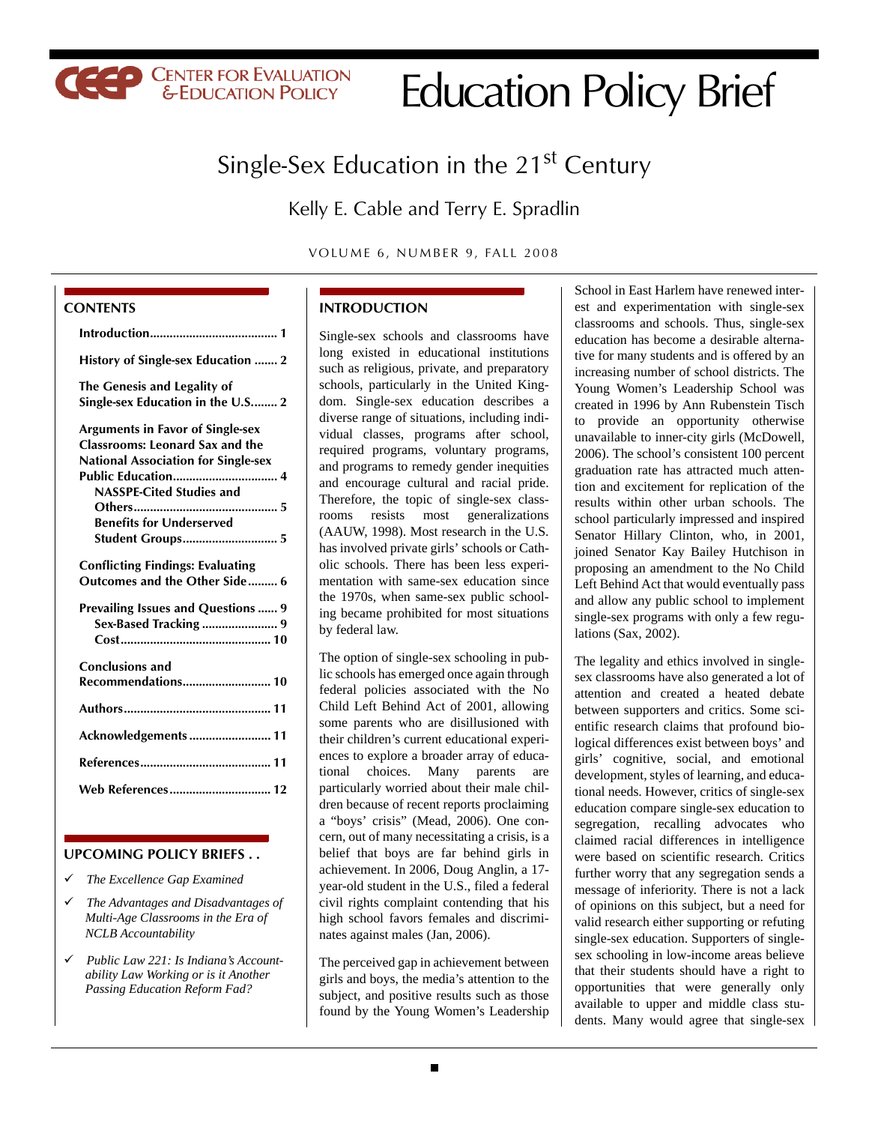# Education Policy Brief

# Single-Sex Education in the  $21<sup>st</sup>$  Century

Kelly E. Cable and Terry E. Spradlin

VOLUME 6, NUMBER 9, FALL 2008

#### **CONTENTS**

| History of Single-sex Education  2                                                                                                                                                                                        |
|---------------------------------------------------------------------------------------------------------------------------------------------------------------------------------------------------------------------------|
| The Genesis and Legality of<br>Single-sex Education in the U.S 2                                                                                                                                                          |
| <b>Arguments in Favor of Single-sex</b><br><b>Classrooms: Leonard Sax and the</b><br><b>National Association for Single-sex</b><br>NASSPE-Cited Studies and<br><b>Benefits for Underserved</b><br><b>Student Groups 5</b> |
| <b>Conflicting Findings: Evaluating</b><br>Outcomes and the Other Side  6                                                                                                                                                 |
| <b>Prevailing Issues and Questions  9</b><br>Sex-Based Tracking  9                                                                                                                                                        |
| <b>Conclusions and</b>                                                                                                                                                                                                    |
|                                                                                                                                                                                                                           |
| Acknowledgements  11                                                                                                                                                                                                      |
|                                                                                                                                                                                                                           |
| Web References 12                                                                                                                                                                                                         |
|                                                                                                                                                                                                                           |

**CEEP CENTER FOR EVALUATION** 

#### **UPCOMING POLICY BRIEFS . .**

- 9 *The Excellence Gap Examined*
- 9 *The Advantages and Disadvantages of Multi-Age Classrooms in the Era of NCLB Accountability*
- 9 *Public Law 221: Is Indiana's Accountability Law Working or is it Another Passing Education Reform Fad?*

#### **INTRODUCTION**

Single-sex schools and classrooms have long existed in educational institutions such as religious, private, and preparatory schools, particularly in the United Kingdom. Single-sex education describes a diverse range of situations, including individual classes, programs after school, required programs, voluntary programs, and programs to remedy gender inequities and encourage cultural and racial pride. Therefore, the topic of single-sex classrooms resists most generalizations (AAUW, 1998). Most research in the U.S. has involved private girls' schools or Catholic schools. There has been less experimentation with same-sex education since the 1970s, when same-sex public schooling became prohibited for most situations by federal law.

The option of single-sex schooling in public schools has emerged once again through federal policies associated with the No Child Left Behind Act of 2001, allowing some parents who are disillusioned with their children's current educational experiences to explore a broader array of educational choices. Many parents are particularly worried about their male children because of recent reports proclaiming a "boys' crisis" (Mead, 2006). One concern, out of many necessitating a crisis, is a belief that boys are far behind girls in achievement. In 2006, Doug Anglin, a 17 year-old student in the U.S., filed a federal civil rights complaint contending that his high school favors females and discriminates against males (Jan, 2006).

The perceived gap in achievement between girls and boys, the media's attention to the subject, and positive results such as those found by the Young Women's Leadership

School in East Harlem have renewed interest and experimentation with single-sex classrooms and schools. Thus, single-sex education has become a desirable alternative for many students and is offered by an increasing number of school districts. The Young Women's Leadership School was created in 1996 by Ann Rubenstein Tisch to provide an opportunity otherwise unavailable to inner-city girls (McDowell, 2006). The school's consistent 100 percent graduation rate has attracted much attention and excitement for replication of the results within other urban schools. The school particularly impressed and inspired Senator Hillary Clinton, who, in 2001, joined Senator Kay Bailey Hutchison in proposing an amendment to the No Child Left Behind Act that would eventually pass and allow any public school to implement single-sex programs with only a few regulations (Sax, 2002).

The legality and ethics involved in singlesex classrooms have also generated a lot of attention and created a heated debate between supporters and critics. Some scientific research claims that profound biological differences exist between boys' and girls' cognitive, social, and emotional development, styles of learning, and educational needs. However, critics of single-sex education compare single-sex education to segregation, recalling advocates who claimed racial differences in intelligence were based on scientific research. Critics further worry that any segregation sends a message of inferiority. There is not a lack of opinions on this subject, but a need for valid research either supporting or refuting single-sex education. Supporters of singlesex schooling in low-income areas believe that their students should have a right to opportunities that were generally only available to upper and middle class students. Many would agree that single-sex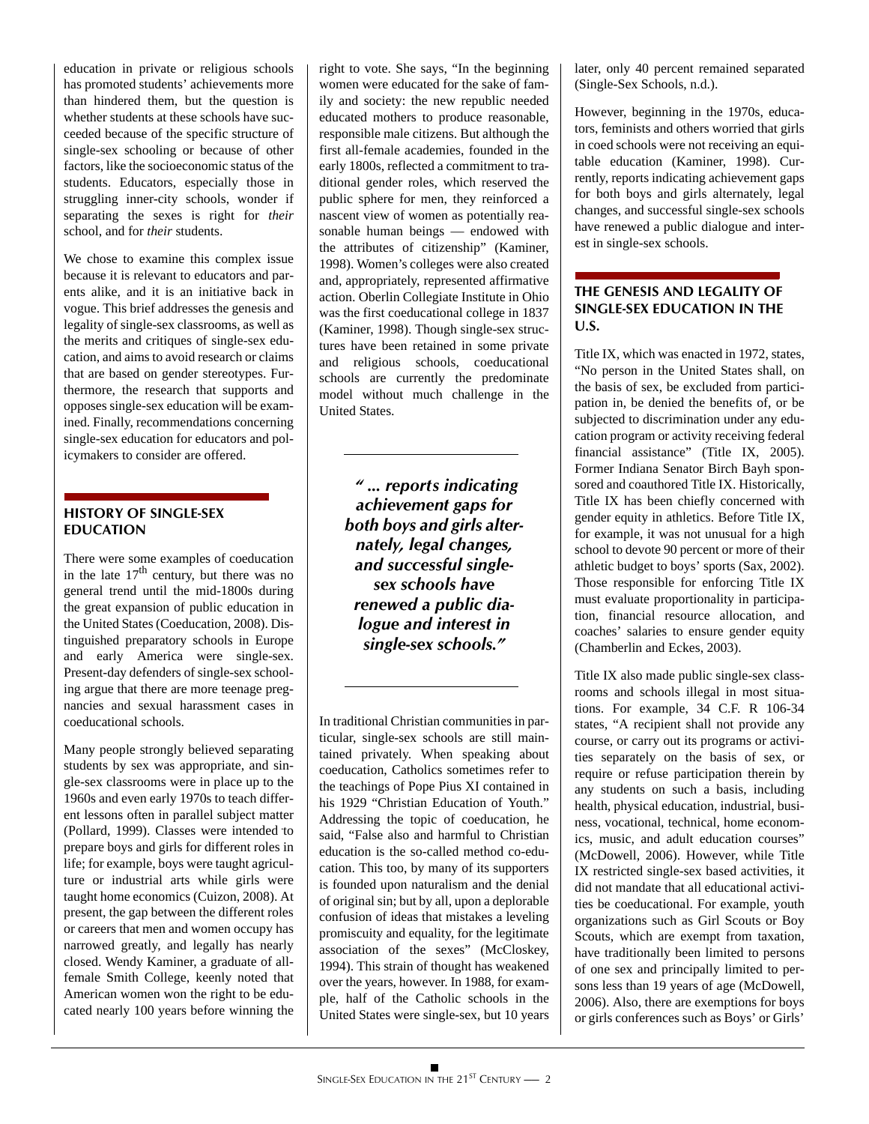education in private or religious schools has promoted students' achievements more than hindered them, but the question is whether students at these schools have succeeded because of the specific structure of single-sex schooling or because of other factors, like the socioeconomic status of the students. Educators, especially those in struggling inner-city schools, wonder if separating the sexes is right for *their* school, and for *their* students.

We chose to examine this complex issue because it is relevant to educators and parents alike, and it is an initiative back in vogue. This brief addresses the genesis and legality of single-sex classrooms, as well as the merits and critiques of single-sex education, and aims to avoid research or claims that are based on gender stereotypes. Furthermore, the research that supports and opposes single-sex education will be examined. Finally, recommendations concerning single-sex education for educators and policymakers to consider are offered.

# **HISTORY OF SINGLE-SEX EDUCATION**

There were some examples of coeducation in the late  $17<sup>th</sup>$  century, but there was no general trend until the mid-1800s during the great expansion of public education in the United States (Coeducation, 2008). Distinguished preparatory schools in Europe and early America were single-sex. Present-day defenders of single-sex schooling argue that there are more teenage pregnancies and sexual harassment cases in coeducational schools.

Many people strongly believed separating students by sex was appropriate, and single-sex classrooms were in place up to the 1960s and even early 1970s to teach different lessons often in parallel subject matter (Pollard, 1999). Classes were intended to .prepare boys and girls for different roles in life; for example, boys were taught agriculture or industrial arts while girls were taught home economics (Cuizon, 2008). At present, the gap between the different roles or careers that men and women occupy has narrowed greatly, and legally has nearly closed. Wendy Kaminer, a graduate of allfemale Smith College, keenly noted that American women won the right to be educated nearly 100 years before winning the right to vote. She says, "In the beginning women were educated for the sake of family and society: the new republic needed educated mothers to produce reasonable, responsible male citizens. But although the first all-female academies, founded in the early 1800s, reflected a commitment to traditional gender roles, which reserved the public sphere for men, they reinforced a nascent view of women as potentially reasonable human beings — endowed with the attributes of citizenship" (Kaminer, 1998). Women's colleges were also created and, appropriately, represented affirmative action. Oberlin Collegiate Institute in Ohio was the first coeducational college in 1837 (Kaminer, 1998). Though single-sex structures have been retained in some private and religious schools, coeducational schools are currently the predominate model without much challenge in the United States.

> *" ... reports indicating achievement gaps for both boys and girls alternately, legal changes, and successful singlesex schools have renewed a public dialogue and interest in single-sex schools."*

In traditional Christian communities in particular, single-sex schools are still maintained privately. When speaking about coeducation, Catholics sometimes refer to the teachings of Pope Pius XI contained in his 1929 "Christian Education of Youth." Addressing the topic of coeducation, he said, "False also and harmful to Christian education is the so-called method co-education. This too, by many of its supporters is founded upon naturalism and the denial of original sin; but by all, upon a deplorable confusion of ideas that mistakes a leveling promiscuity and equality, for the legitimate association of the sexes" (McCloskey, 1994). This strain of thought has weakened over the years, however. In 1988, for example, half of the Catholic schools in the United States were single-sex, but 10 years

later, only 40 percent remained separated (Single-Sex Schools, n.d.).

However, beginning in the 1970s, educators, feminists and others worried that girls in coed schools were not receiving an equitable education (Kaminer, 1998). Currently, reports indicating achievement gaps for both boys and girls alternately, legal changes, and successful single-sex schools have renewed a public dialogue and interest in single-sex schools.

# **THE GENESIS AND LEGALITY OF SINGLE-SEX EDUCATION IN THE U.S.**

Title IX, which was enacted in 1972, states, "No person in the United States shall, on the basis of sex, be excluded from participation in, be denied the benefits of, or be subjected to discrimination under any education program or activity receiving federal financial assistance" (Title IX, 2005). Former Indiana Senator Birch Bayh sponsored and coauthored Title IX. Historically, Title IX has been chiefly concerned with gender equity in athletics. Before Title IX, for example, it was not unusual for a high school to devote 90 percent or more of their athletic budget to boys' sports (Sax, 2002). Those responsible for enforcing Title IX must evaluate proportionality in participation, financial resource allocation, and coaches' salaries to ensure gender equity (Chamberlin and Eckes, 2003).

Title IX also made public single-sex classrooms and schools illegal in most situations. For example, 34 C.F. R 106-34 states, "A recipient shall not provide any course, or carry out its programs or activities separately on the basis of sex, or require or refuse participation therein by any students on such a basis, including health, physical education, industrial, business, vocational, technical, home economics, music, and adult education courses" (McDowell, 2006). However, while Title IX restricted single-sex based activities, it did not mandate that all educational activities be coeducational. For example, youth organizations such as Girl Scouts or Boy Scouts, which are exempt from taxation, have traditionally been limited to persons of one sex and principally limited to persons less than 19 years of age (McDowell, 2006). Also, there are exemptions for boys or girls conferences such as Boys' or Girls'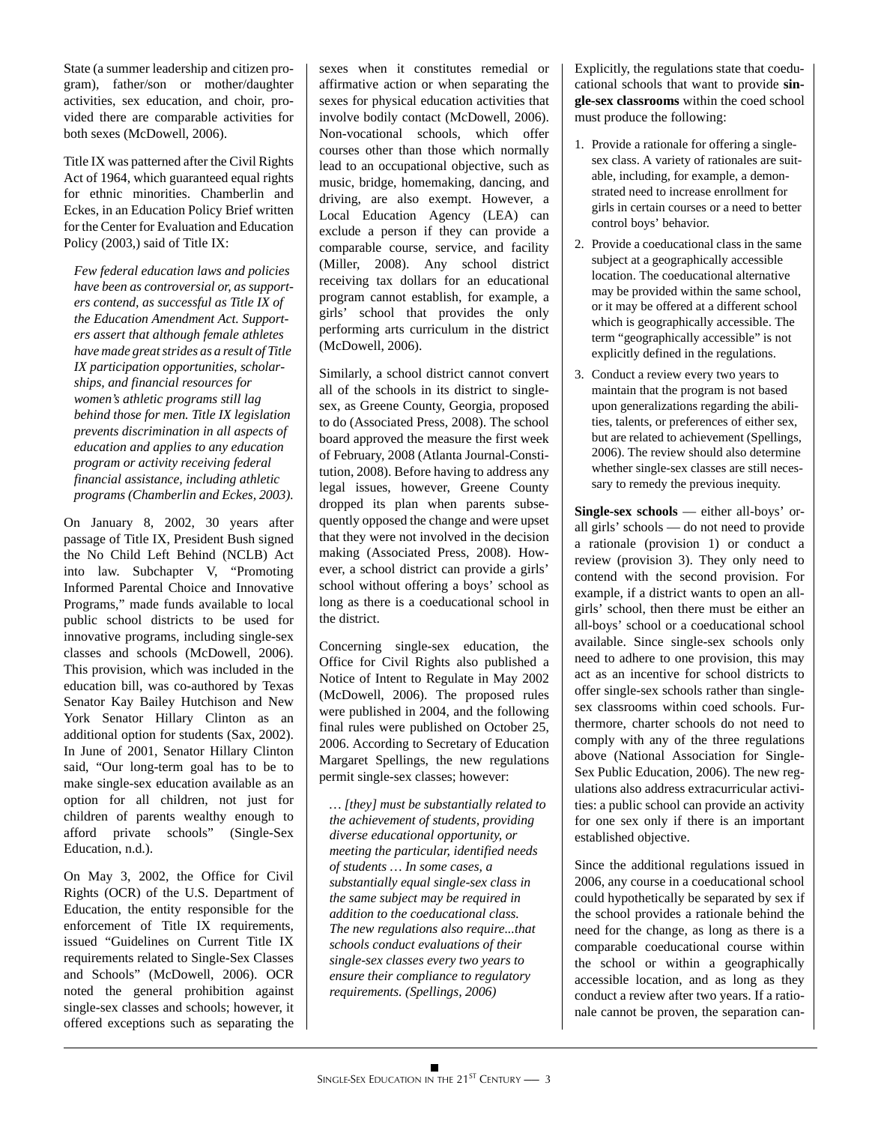State (a summer leadership and citizen program), father/son or mother/daughter activities, sex education, and choir, provided there are comparable activities for both sexes (McDowell, 2006).

Title IX was patterned after the Civil Rights Act of 1964, which guaranteed equal rights for ethnic minorities. Chamberlin and Eckes, in an Education Policy Brief written for the Center for Evaluation and Education Policy (2003,) said of Title IX:

*Few federal education laws and policies have been as controversial or, as supporters contend, as successful as Title IX of the Education Amendment Act. Supporters assert that although female athletes have made great strides as a result of Title IX participation opportunities, scholarships, and financial resources for women's athletic programs still lag behind those for men. Title IX legislation prevents discrimination in all aspects of education and applies to any education program or activity receiving federal financial assistance, including athletic programs (Chamberlin and Eckes, 2003).*

On January 8, 2002, 30 years after passage of Title IX, President Bush signed the No Child Left Behind (NCLB) Act into law. Subchapter V, "Promoting Informed Parental Choice and Innovative Programs," made funds available to local public school districts to be used for innovative programs, including single-sex classes and schools (McDowell, 2006). This provision, which was included in the education bill, was co-authored by Texas Senator Kay Bailey Hutchison and New York Senator Hillary Clinton as an additional option for students (Sax, 2002). In June of 2001, Senator Hillary Clinton said, "Our long-term goal has to be to make single-sex education available as an option for all children, not just for children of parents wealthy enough to afford private schools" (Single-Sex Education, n.d.).

On May 3, 2002, the Office for Civil Rights (OCR) of the U.S. Department of Education, the entity responsible for the enforcement of Title IX requirements, issued "Guidelines on Current Title IX requirements related to Single-Sex Classes and Schools" (McDowell, 2006). OCR noted the general prohibition against single-sex classes and schools; however, it offered exceptions such as separating the sexes when it constitutes remedial or affirmative action or when separating the sexes for physical education activities that involve bodily contact (McDowell, 2006). Non-vocational schools, which offer courses other than those which normally lead to an occupational objective, such as music, bridge, homemaking, dancing, and driving, are also exempt. However, a Local Education Agency (LEA) can exclude a person if they can provide a comparable course, service, and facility (Miller, 2008). Any school district receiving tax dollars for an educational program cannot establish, for example, a girls' school that provides the only performing arts curriculum in the district (McDowell, 2006).

Similarly, a school district cannot convert all of the schools in its district to singlesex, as Greene County, Georgia, proposed to do (Associated Press, 2008). The school board approved the measure the first week of February, 2008 (Atlanta Journal-Constitution, 2008). Before having to address any legal issues, however, Greene County dropped its plan when parents subsequently opposed the change and were upset that they were not involved in the decision making (Associated Press, 2008). However, a school district can provide a girls' school without offering a boys' school as long as there is a coeducational school in the district.

Concerning single-sex education, the Office for Civil Rights also published a Notice of Intent to Regulate in May 2002 (McDowell, 2006). The proposed rules were published in 2004, and the following final rules were published on October 25, 2006. According to Secretary of Education Margaret Spellings, the new regulations permit single-sex classes; however:

*… [they] must be substantially related to the achievement of students, providing diverse educational opportunity, or meeting the particular, identified needs of students … In some cases, a substantially equal single-sex class in the same subject may be required in addition to the coeducational class. The new regulations also require...that schools conduct evaluations of their single-sex classes every two years to ensure their compliance to regulatory requirements. (Spellings, 2006)*

Explicitly, the regulations state that coeducational schools that want to provide **single-sex classrooms** within the coed school must produce the following:

- 1. Provide a rationale for offering a singlesex class. A variety of rationales are suitable, including, for example, a demonstrated need to increase enrollment for girls in certain courses or a need to better control boys' behavior.
- 2. Provide a coeducational class in the same subject at a geographically accessible location. The coeducational alternative may be provided within the same school, or it may be offered at a different school which is geographically accessible. The term "geographically accessible" is not explicitly defined in the regulations.
- 3. Conduct a review every two years to maintain that the program is not based upon generalizations regarding the abilities, talents, or preferences of either sex, but are related to achievement (Spellings, 2006). The review should also determine whether single-sex classes are still necessary to remedy the previous inequity.

**Single-sex schools** — either all-boys' orall girls' schools — do not need to provide a rationale (provision 1) or conduct a review (provision 3). They only need to contend with the second provision. For example, if a district wants to open an allgirls' school, then there must be either an all-boys' school or a coeducational school available. Since single-sex schools only need to adhere to one provision, this may act as an incentive for school districts to offer single-sex schools rather than singlesex classrooms within coed schools. Furthermore, charter schools do not need to comply with any of the three regulations above (National Association for Single-Sex Public Education, 2006). The new regulations also address extracurricular activities: a public school can provide an activity for one sex only if there is an important established objective.

Since the additional regulations issued in 2006, any course in a coeducational school could hypothetically be separated by sex if the school provides a rationale behind the need for the change, as long as there is a comparable coeducational course within the school or within a geographically accessible location, and as long as they conduct a review after two years. If a rationale cannot be proven, the separation can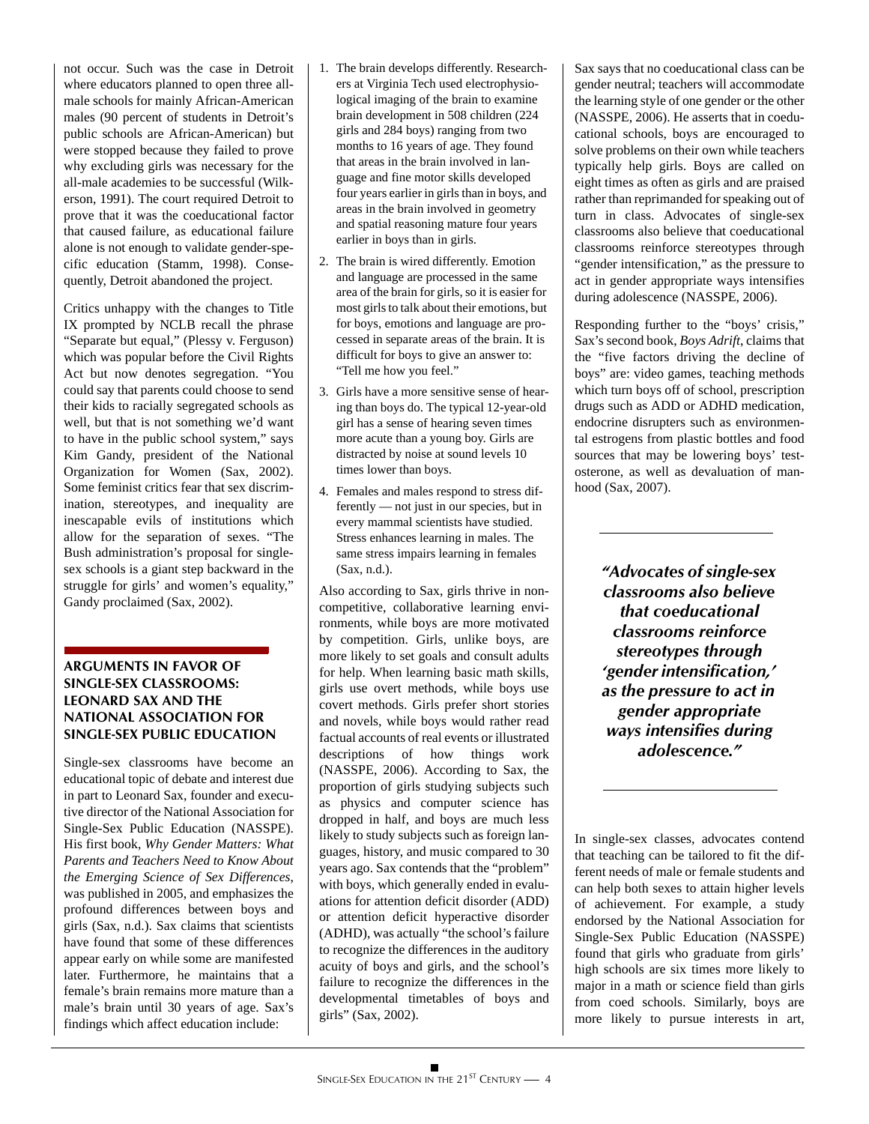not occur. Such was the case in Detroit where educators planned to open three allmale schools for mainly African-American males (90 percent of students in Detroit's public schools are African-American) but were stopped because they failed to prove why excluding girls was necessary for the all-male academies to be successful (Wilkerson, 1991). The court required Detroit to prove that it was the coeducational factor that caused failure, as educational failure alone is not enough to validate gender-specific education (Stamm, 1998). Consequently, Detroit abandoned the project.

Critics unhappy with the changes to Title IX prompted by NCLB recall the phrase "Separate but equal," (Plessy v. Ferguson) which was popular before the Civil Rights Act but now denotes segregation. "You could say that parents could choose to send their kids to racially segregated schools as well, but that is not something we'd want to have in the public school system," says Kim Gandy, president of the National Organization for Women (Sax, 2002). Some feminist critics fear that sex discrimination, stereotypes, and inequality are inescapable evils of institutions which allow for the separation of sexes. "The Bush administration's proposal for singlesex schools is a giant step backward in the struggle for girls' and women's equality," Gandy proclaimed (Sax, 2002).

#### **ARGUMENTS IN FAVOR OF SINGLE-SEX CLASSROOMS: LEONARD SAX AND THE NATIONAL ASSOCIATION FOR SINGLE-SEX PUBLIC EDUCATION**

Single-sex classrooms have become an educational topic of debate and interest due in part to Leonard Sax, founder and executive director of the National Association for Single-Sex Public Education (NASSPE). His first book, *Why Gender Matters: What Parents and Teachers Need to Know About the Emerging Science of Sex Differences*, was published in 2005, and emphasizes the profound differences between boys and girls (Sax, n.d.). Sax claims that scientists have found that some of these differences appear early on while some are manifested later. Furthermore, he maintains that a female's brain remains more mature than a male's brain until 30 years of age. Sax's findings which affect education include:

- 1. The brain develops differently. Researchers at Virginia Tech used electrophysiological imaging of the brain to examine brain development in 508 children (224 girls and 284 boys) ranging from two months to 16 years of age. They found that areas in the brain involved in language and fine motor skills developed four years earlier in girls than in boys, and areas in the brain involved in geometry and spatial reasoning mature four years earlier in boys than in girls.
- 2. The brain is wired differently. Emotion and language are processed in the same area of the brain for girls, so it is easier for most girls to talk about their emotions, but for boys, emotions and language are processed in separate areas of the brain. It is difficult for boys to give an answer to: "Tell me how you feel."
- 3. Girls have a more sensitive sense of hearing than boys do. The typical 12-year-old girl has a sense of hearing seven times more acute than a young boy. Girls are distracted by noise at sound levels 10 times lower than boys.
- 4. Females and males respond to stress differently — not just in our species, but in every mammal scientists have studied. Stress enhances learning in males. The same stress impairs learning in females (Sax, n.d.).

Also according to Sax, girls thrive in noncompetitive, collaborative learning environments, while boys are more motivated by competition. Girls, unlike boys, are more likely to set goals and consult adults for help. When learning basic math skills, girls use overt methods, while boys use covert methods. Girls prefer short stories and novels, while boys would rather read factual accounts of real events or illustrated descriptions of how things work (NASSPE, 2006). According to Sax, the proportion of girls studying subjects such as physics and computer science has dropped in half, and boys are much less likely to study subjects such as foreign languages, history, and music compared to 30 years ago. Sax contends that the "problem" with boys, which generally ended in evaluations for attention deficit disorder (ADD) or attention deficit hyperactive disorder (ADHD), was actually "the school's failure to recognize the differences in the auditory acuity of boys and girls, and the school's failure to recognize the differences in the developmental timetables of boys and girls" (Sax, 2002).

Sax says that no coeducational class can be gender neutral; teachers will accommodate the learning style of one gender or the other (NASSPE, 2006). He asserts that in coeducational schools, boys are encouraged to solve problems on their own while teachers typically help girls. Boys are called on eight times as often as girls and are praised rather than reprimanded for speaking out of turn in class. Advocates of single-sex classrooms also believe that coeducational classrooms reinforce stereotypes through "gender intensification," as the pressure to act in gender appropriate ways intensifies during adolescence (NASSPE, 2006).

Responding further to the "boys' crisis," Sax's second book, *Boys Adrift*, claims that the "five factors driving the decline of boys" are: video games, teaching methods which turn boys off of school, prescription drugs such as ADD or ADHD medication, endocrine disrupters such as environmental estrogens from plastic bottles and food sources that may be lowering boys' testosterone, as well as devaluation of manhood (Sax, 2007).

> *"Advocates of single-sex classrooms also believe that coeducational classrooms reinforce stereotypes through 'gender intensification,' as the pressure to act in gender appropriate ways intensifies during adolescence."*

In single-sex classes, advocates contend that teaching can be tailored to fit the different needs of male or female students and can help both sexes to attain higher levels of achievement. For example, a study endorsed by the National Association for Single-Sex Public Education (NASSPE) found that girls who graduate from girls' high schools are six times more likely to major in a math or science field than girls from coed schools. Similarly, boys are more likely to pursue interests in art,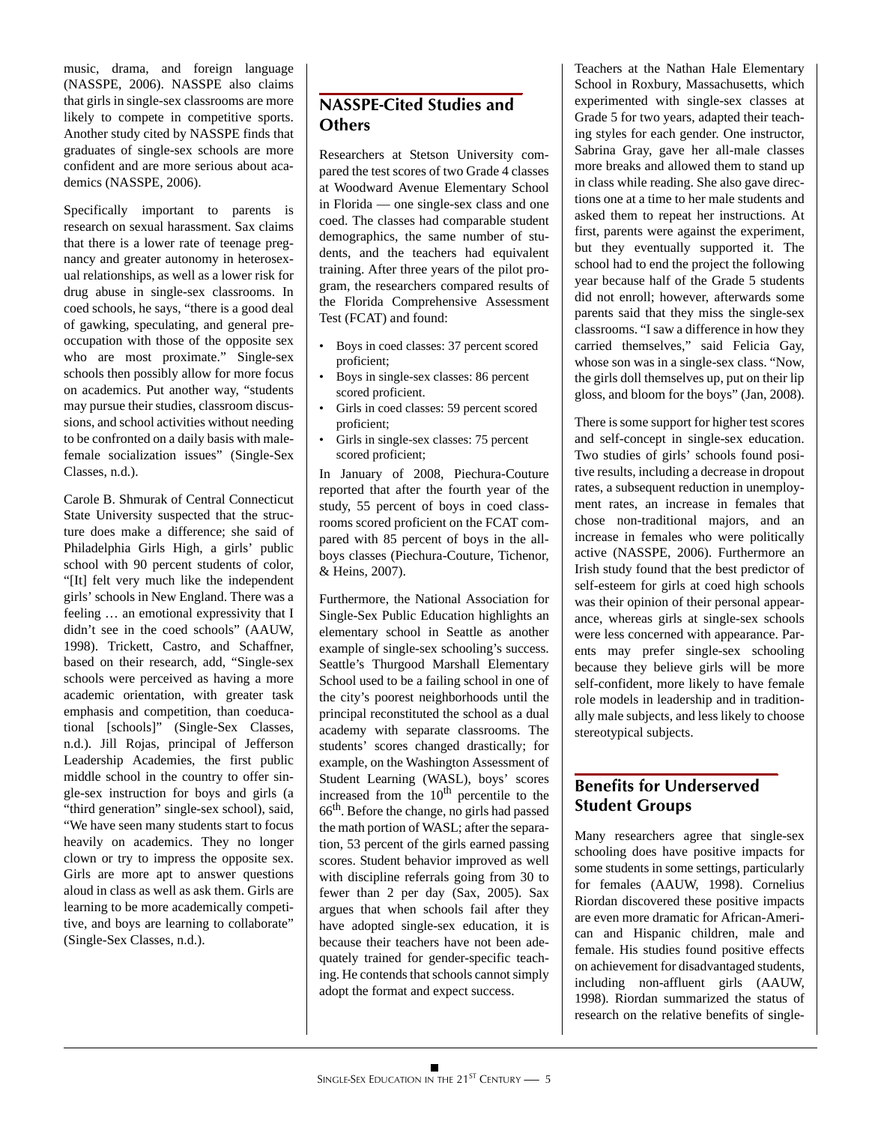music, drama, and foreign language (NASSPE, 2006). NASSPE also claims that girls in single-sex classrooms are more likely to compete in competitive sports. Another study cited by NASSPE finds that graduates of single-sex schools are more confident and are more serious about academics (NASSPE, 2006).

Specifically important to parents is research on sexual harassment. Sax claims that there is a lower rate of teenage pregnancy and greater autonomy in heterosexual relationships, as well as a lower risk for drug abuse in single-sex classrooms. In coed schools, he says, "there is a good deal of gawking, speculating, and general preoccupation with those of the opposite sex who are most proximate." Single-sex schools then possibly allow for more focus on academics. Put another way, "students may pursue their studies, classroom discussions, and school activities without needing to be confronted on a daily basis with malefemale socialization issues" (Single-Sex Classes, n.d.).

Carole B. Shmurak of Central Connecticut State University suspected that the structure does make a difference; she said of Philadelphia Girls High, a girls' public school with 90 percent students of color, "[It] felt very much like the independent girls' schools in New England. There was a feeling … an emotional expressivity that I didn't see in the coed schools" (AAUW, 1998). Trickett, Castro, and Schaffner, based on their research, add, "Single-sex schools were perceived as having a more academic orientation, with greater task emphasis and competition, than coeducational [schools]" (Single-Sex Classes, n.d.). Jill Rojas, principal of Jefferson Leadership Academies, the first public middle school in the country to offer single-sex instruction for boys and girls (a "third generation" single-sex school), said, "We have seen many students start to focus heavily on academics. They no longer clown or try to impress the opposite sex. Girls are more apt to answer questions aloud in class as well as ask them. Girls are learning to be more academically competitive, and boys are learning to collaborate" (Single-Sex Classes, n.d.).

# **NASSPE-Cited Studies and Others**

Researchers at Stetson University compared the test scores of two Grade 4 classes at Woodward Avenue Elementary School in Florida — one single-sex class and one coed. The classes had comparable student demographics, the same number of students, and the teachers had equivalent training. After three years of the pilot program, the researchers compared results of the Florida Comprehensive Assessment Test (FCAT) and found:

- Boys in coed classes: 37 percent scored proficient;
- Boys in single-sex classes: 86 percent scored proficient.
- Girls in coed classes: 59 percent scored proficient;
- Girls in single-sex classes: 75 percent scored proficient;

In January of 2008, Piechura-Couture reported that after the fourth year of the study, 55 percent of boys in coed classrooms scored proficient on the FCAT compared with 85 percent of boys in the allboys classes (Piechura-Couture, Tichenor, & Heins, 2007).

Furthermore, the National Association for Single-Sex Public Education highlights an elementary school in Seattle as another example of single-sex schooling's success. Seattle's Thurgood Marshall Elementary School used to be a failing school in one of the city's poorest neighborhoods until the principal reconstituted the school as a dual academy with separate classrooms. The students' scores changed drastically; for example, on the Washington Assessment of Student Learning (WASL), boys' scores increased from the  $10<sup>th</sup>$  percentile to the 66th. Before the change, no girls had passed the math portion of WASL; after the separation, 53 percent of the girls earned passing scores. Student behavior improved as well with discipline referrals going from 30 to fewer than 2 per day (Sax, 2005). Sax argues that when schools fail after they have adopted single-sex education, it is because their teachers have not been adequately trained for gender-specific teaching. He contends that schools cannot simply adopt the format and expect success.

Teachers at the Nathan Hale Elementary School in Roxbury, Massachusetts, which experimented with single-sex classes at Grade 5 for two years, adapted their teaching styles for each gender. One instructor, Sabrina Gray, gave her all-male classes more breaks and allowed them to stand up in class while reading. She also gave directions one at a time to her male students and asked them to repeat her instructions. At first, parents were against the experiment, but they eventually supported it. The school had to end the project the following year because half of the Grade 5 students did not enroll; however, afterwards some parents said that they miss the single-sex classrooms. "I saw a difference in how they carried themselves," said Felicia Gay, whose son was in a single-sex class. "Now, the girls doll themselves up, put on their lip gloss, and bloom for the boys" (Jan, 2008).

There is some support for higher test scores and self-concept in single-sex education. Two studies of girls' schools found positive results, including a decrease in dropout rates, a subsequent reduction in unemployment rates, an increase in females that chose non-traditional majors, and an increase in females who were politically active (NASSPE, 2006). Furthermore an Irish study found that the best predictor of self-esteem for girls at coed high schools was their opinion of their personal appearance, whereas girls at single-sex schools were less concerned with appearance. Parents may prefer single-sex schooling because they believe girls will be more self-confident, more likely to have female role models in leadership and in traditionally male subjects, and less likely to choose stereotypical subjects.

# **Benefits for Underserved Student Groups**

Many researchers agree that single-sex schooling does have positive impacts for some students in some settings, particularly for females (AAUW, 1998). Cornelius Riordan discovered these positive impacts are even more dramatic for African-American and Hispanic children, male and female. His studies found positive effects on achievement for disadvantaged students, including non-affluent girls (AAUW, 1998). Riordan summarized the status of research on the relative benefits of single-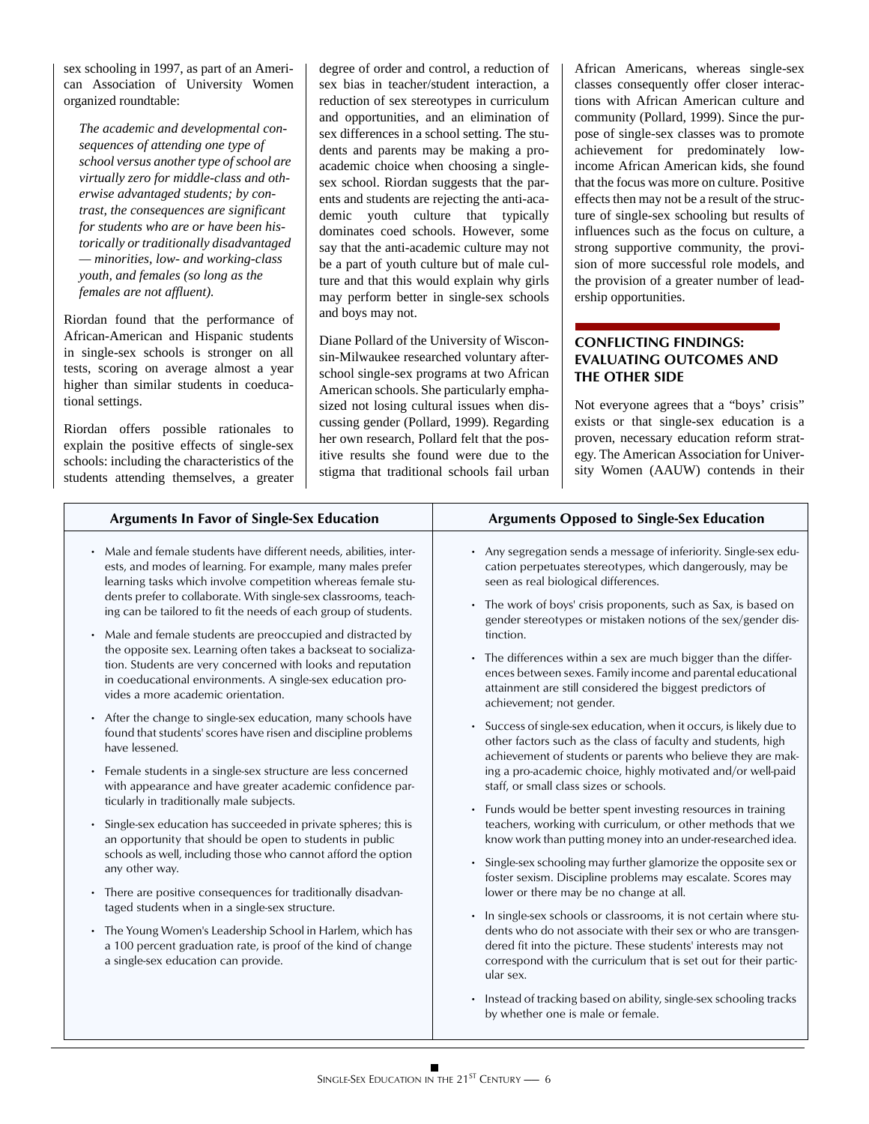sex schooling in 1997, as part of an American Association of University Women organized roundtable:

*The academic and developmental consequences of attending one type of school versus another type of school are virtually zero for middle-class and otherwise advantaged students; by contrast, the consequences are significant for students who are or have been historically or traditionally disadvantaged — minorities, low- and working-class youth, and females (so long as the females are not affluent).*

Riordan found that the performance of African-American and Hispanic students in single-sex schools is stronger on all tests, scoring on average almost a year higher than similar students in coeducational settings.

Riordan offers possible rationales to explain the positive effects of single-sex schools: including the characteristics of the students attending themselves, a greater degree of order and control, a reduction of sex bias in teacher/student interaction, a reduction of sex stereotypes in curriculum and opportunities, and an elimination of sex differences in a school setting. The students and parents may be making a proacademic choice when choosing a singlesex school. Riordan suggests that the parents and students are rejecting the anti-academic youth culture that typically dominates coed schools. However, some say that the anti-academic culture may not be a part of youth culture but of male culture and that this would explain why girls may perform better in single-sex schools and boys may not.

Diane Pollard of the University of Wisconsin-Milwaukee researched voluntary afterschool single-sex programs at two African American schools. She particularly emphasized not losing cultural issues when discussing gender (Pollard, 1999). Regarding her own research, Pollard felt that the positive results she found were due to the stigma that traditional schools fail urban

African Americans, whereas single-sex classes consequently offer closer interactions with African American culture and community (Pollard, 1999). Since the purpose of single-sex classes was to promote achievement for predominately lowincome African American kids, she found that the focus was more on culture. Positive effects then may not be a result of the structure of single-sex schooling but results of influences such as the focus on culture, a strong supportive community, the provision of more successful role models, and the provision of a greater number of leadership opportunities.

# **CONFLICTING FINDINGS: EVALUATING OUTCOMES AND THE OTHER SIDE**

Not everyone agrees that a "boys' crisis" exists or that single-sex education is a proven, necessary education reform strategy. The American Association for University Women (AAUW) contends in their

| <b>Arguments In Favor of Single-Sex Education</b>                                                                                                                                                                                                                                                                                                                                                                                                                                                                                                                                                                                                                                                                                                                                                                                                                                                                                                                                                                                                                                                                                                                                                                                                                                                                                                                                                                                                                                                                                                 | <b>Arguments Opposed to Single-Sex Education</b>                                                                                                                                                                                                                                                                                                                                                                                                                                                                                                                                                                                                                                                                                                                                                                                                                                                                                                                                                                                                                                                                                                                                                                                                                                                                                                                                                                                                                                                                                                                                                                                       |
|---------------------------------------------------------------------------------------------------------------------------------------------------------------------------------------------------------------------------------------------------------------------------------------------------------------------------------------------------------------------------------------------------------------------------------------------------------------------------------------------------------------------------------------------------------------------------------------------------------------------------------------------------------------------------------------------------------------------------------------------------------------------------------------------------------------------------------------------------------------------------------------------------------------------------------------------------------------------------------------------------------------------------------------------------------------------------------------------------------------------------------------------------------------------------------------------------------------------------------------------------------------------------------------------------------------------------------------------------------------------------------------------------------------------------------------------------------------------------------------------------------------------------------------------------|----------------------------------------------------------------------------------------------------------------------------------------------------------------------------------------------------------------------------------------------------------------------------------------------------------------------------------------------------------------------------------------------------------------------------------------------------------------------------------------------------------------------------------------------------------------------------------------------------------------------------------------------------------------------------------------------------------------------------------------------------------------------------------------------------------------------------------------------------------------------------------------------------------------------------------------------------------------------------------------------------------------------------------------------------------------------------------------------------------------------------------------------------------------------------------------------------------------------------------------------------------------------------------------------------------------------------------------------------------------------------------------------------------------------------------------------------------------------------------------------------------------------------------------------------------------------------------------------------------------------------------------|
| Male and female students have different needs, abilities, inter-<br>$\bullet$<br>ests, and modes of learning. For example, many males prefer<br>learning tasks which involve competition whereas female stu-<br>dents prefer to collaborate. With single-sex classrooms, teach-<br>ing can be tailored to fit the needs of each group of students.<br>Male and female students are preoccupied and distracted by<br>$\bullet$<br>the opposite sex. Learning often takes a backseat to socializa-<br>tion. Students are very concerned with looks and reputation<br>in coeducational environments. A single-sex education pro-<br>vides a more academic orientation.<br>After the change to single-sex education, many schools have<br>$\bullet$<br>found that students' scores have risen and discipline problems<br>have lessened.<br>Female students in a single-sex structure are less concerned<br>$\bullet$<br>with appearance and have greater academic confidence par-<br>ticularly in traditionally male subjects.<br>Single-sex education has succeeded in private spheres; this is<br>$\bullet$<br>an opportunity that should be open to students in public<br>schools as well, including those who cannot afford the option<br>any other way.<br>• There are positive consequences for traditionally disadvan-<br>taged students when in a single-sex structure.<br>• The Young Women's Leadership School in Harlem, which has<br>a 100 percent graduation rate, is proof of the kind of change<br>a single-sex education can provide. | • Any segregation sends a message of inferiority. Single-sex edu-<br>cation perpetuates stereotypes, which dangerously, may be<br>seen as real biological differences.<br>• The work of boys' crisis proponents, such as Sax, is based on<br>gender stereotypes or mistaken notions of the sex/gender dis-<br>tinction.<br>• The differences within a sex are much bigger than the differ-<br>ences between sexes. Family income and parental educational<br>attainment are still considered the biggest predictors of<br>achievement; not gender.<br>Success of single-sex education, when it occurs, is likely due to<br>other factors such as the class of faculty and students, high<br>achievement of students or parents who believe they are mak-<br>ing a pro-academic choice, highly motivated and/or well-paid<br>staff, or small class sizes or schools.<br>• Funds would be better spent investing resources in training<br>teachers, working with curriculum, or other methods that we<br>know work than putting money into an under-researched idea.<br>Single-sex schooling may further glamorize the opposite sex or<br>foster sexism. Discipline problems may escalate. Scores may<br>lower or there may be no change at all.<br>In single-sex schools or classrooms, it is not certain where stu-<br>$\bullet$<br>dents who do not associate with their sex or who are transgen-<br>dered fit into the picture. These students' interests may not<br>correspond with the curriculum that is set out for their partic-<br>ular sex.<br>Instead of tracking based on ability, single-sex schooling tracks<br>$\bullet$ |
|                                                                                                                                                                                                                                                                                                                                                                                                                                                                                                                                                                                                                                                                                                                                                                                                                                                                                                                                                                                                                                                                                                                                                                                                                                                                                                                                                                                                                                                                                                                                                   | by whether one is male or female.                                                                                                                                                                                                                                                                                                                                                                                                                                                                                                                                                                                                                                                                                                                                                                                                                                                                                                                                                                                                                                                                                                                                                                                                                                                                                                                                                                                                                                                                                                                                                                                                      |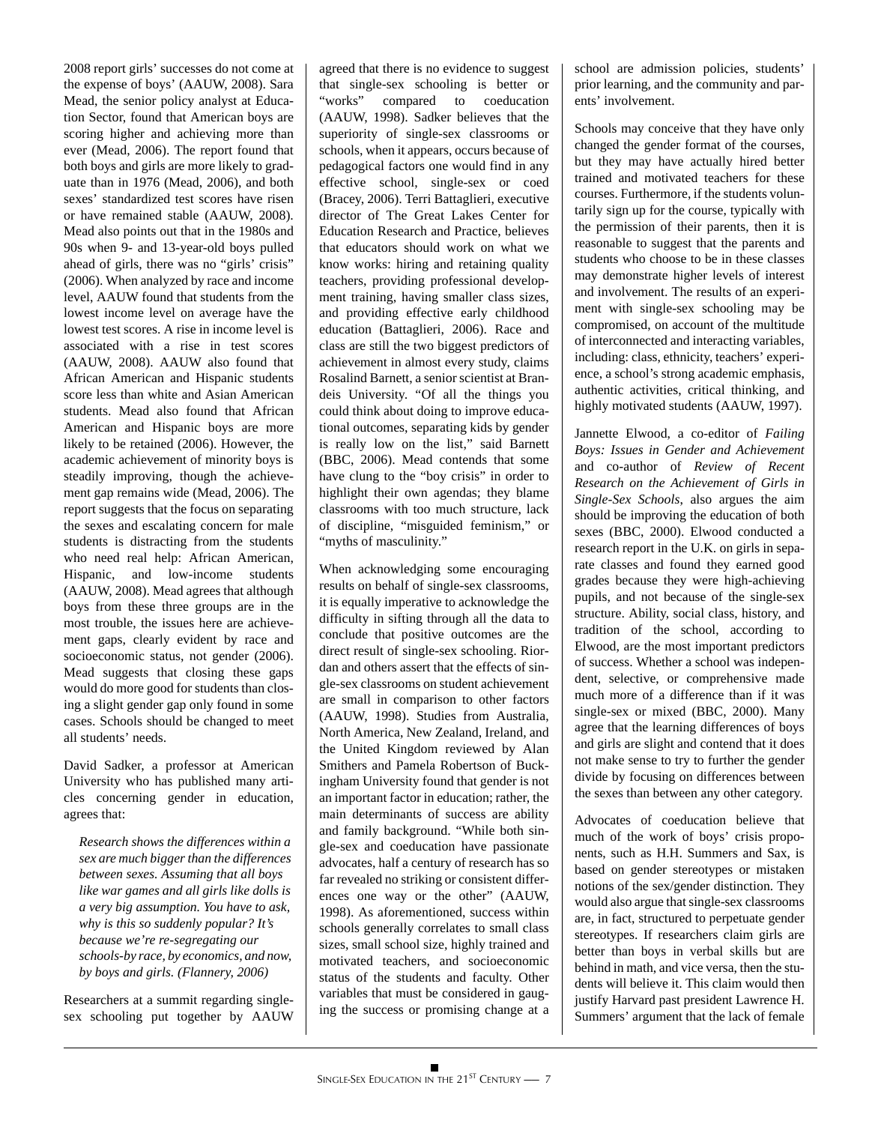2008 report girls' successes do not come at the expense of boys' (AAUW, 2008). Sara Mead, the senior policy analyst at Education Sector, found that American boys are scoring higher and achieving more than ever (Mead, 2006). The report found that both boys and girls are more likely to graduate than in 1976 (Mead, 2006), and both sexes' standardized test scores have risen or have remained stable (AAUW, 2008). Mead also points out that in the 1980s and 90s when 9- and 13-year-old boys pulled ahead of girls, there was no "girls' crisis" (2006). When analyzed by race and income level, AAUW found that students from the lowest income level on average have the lowest test scores. A rise in income level is associated with a rise in test scores (AAUW, 2008). AAUW also found that African American and Hispanic students score less than white and Asian American students. Mead also found that African American and Hispanic boys are more likely to be retained (2006). However, the academic achievement of minority boys is steadily improving, though the achievement gap remains wide (Mead, 2006). The report suggests that the focus on separating the sexes and escalating concern for male students is distracting from the students who need real help: African American, Hispanic, and low-income students (AAUW, 2008). Mead agrees that although boys from these three groups are in the most trouble, the issues here are achievement gaps, clearly evident by race and socioeconomic status, not gender (2006). Mead suggests that closing these gaps would do more good for students than closing a slight gender gap only found in some cases. Schools should be changed to meet all students' needs.

David Sadker, a professor at American University who has published many articles concerning gender in education, agrees that:

*Research shows the differences within a sex are much bigger than the differences between sexes. Assuming that all boys like war games and all girls like dolls is a very big assumption. You have to ask, why is this so suddenly popular? It's because we're re-segregating our schools-by race, by economics, and now, by boys and girls. (Flannery, 2006)*

Researchers at a summit regarding singlesex schooling put together by AAUW agreed that there is no evidence to suggest that single-sex schooling is better or "works" compared to coeducation (AAUW, 1998). Sadker believes that the superiority of single-sex classrooms or schools, when it appears, occurs because of pedagogical factors one would find in any effective school, single-sex or coed (Bracey, 2006). Terri Battaglieri, executive director of The Great Lakes Center for Education Research and Practice, believes that educators should work on what we know works: hiring and retaining quality teachers, providing professional development training, having smaller class sizes, and providing effective early childhood education (Battaglieri, 2006). Race and class are still the two biggest predictors of achievement in almost every study, claims Rosalind Barnett, a senior scientist at Brandeis University. "Of all the things you could think about doing to improve educational outcomes, separating kids by gender is really low on the list," said Barnett (BBC, 2006). Mead contends that some have clung to the "boy crisis" in order to highlight their own agendas; they blame classrooms with too much structure, lack of discipline, "misguided feminism," or "myths of masculinity."

When acknowledging some encouraging results on behalf of single-sex classrooms, it is equally imperative to acknowledge the difficulty in sifting through all the data to conclude that positive outcomes are the direct result of single-sex schooling. Riordan and others assert that the effects of single-sex classrooms on student achievement are small in comparison to other factors (AAUW, 1998). Studies from Australia, North America, New Zealand, Ireland, and the United Kingdom reviewed by Alan Smithers and Pamela Robertson of Buckingham University found that gender is not an important factor in education; rather, the main determinants of success are ability and family background. "While both single-sex and coeducation have passionate advocates, half a century of research has so far revealed no striking or consistent differences one way or the other" (AAUW, 1998). As aforementioned, success within schools generally correlates to small class sizes, small school size, highly trained and motivated teachers, and socioeconomic status of the students and faculty. Other variables that must be considered in gauging the success or promising change at a

school are admission policies, students' prior learning, and the community and parents' involvement.

Schools may conceive that they have only changed the gender format of the courses, but they may have actually hired better trained and motivated teachers for these courses. Furthermore, if the students voluntarily sign up for the course, typically with the permission of their parents, then it is reasonable to suggest that the parents and students who choose to be in these classes may demonstrate higher levels of interest and involvement. The results of an experiment with single-sex schooling may be compromised, on account of the multitude of interconnected and interacting variables, including: class, ethnicity, teachers' experience, a school's strong academic emphasis, authentic activities, critical thinking, and highly motivated students (AAUW, 1997).

Jannette Elwood, a co-editor of *Failing Boys: Issues in Gender and Achievement* and co-author of *Review of Recent Research on the Achievement of Girls in Single-Sex Schools*, also argues the aim should be improving the education of both sexes (BBC, 2000). Elwood conducted a research report in the U.K. on girls in separate classes and found they earned good grades because they were high-achieving pupils, and not because of the single-sex structure. Ability, social class, history, and tradition of the school, according to Elwood, are the most important predictors of success. Whether a school was independent, selective, or comprehensive made much more of a difference than if it was single-sex or mixed (BBC, 2000). Many agree that the learning differences of boys and girls are slight and contend that it does not make sense to try to further the gender divide by focusing on differences between the sexes than between any other category.

Advocates of coeducation believe that much of the work of boys' crisis proponents, such as H.H. Summers and Sax, is based on gender stereotypes or mistaken notions of the sex/gender distinction. They would also argue that single-sex classrooms are, in fact, structured to perpetuate gender stereotypes. If researchers claim girls are better than boys in verbal skills but are behind in math, and vice versa, then the students will believe it. This claim would then justify Harvard past president Lawrence H. Summers' argument that the lack of female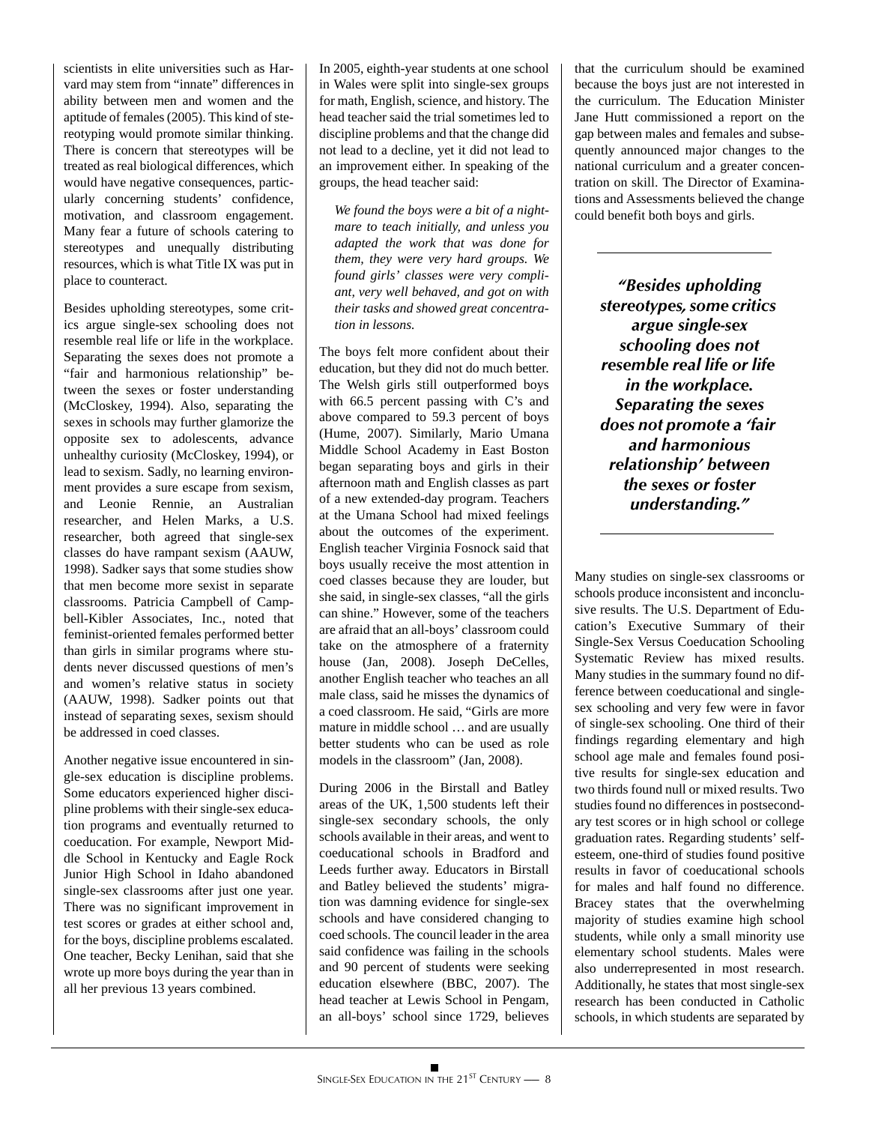scientists in elite universities such as Harvard may stem from "innate" differences in ability between men and women and the aptitude of females (2005). This kind of stereotyping would promote similar thinking. There is concern that stereotypes will be treated as real biological differences, which would have negative consequences, particularly concerning students' confidence, motivation, and classroom engagement. Many fear a future of schools catering to stereotypes and unequally distributing resources, which is what Title IX was put in place to counteract.

Besides upholding stereotypes, some critics argue single-sex schooling does not resemble real life or life in the workplace. Separating the sexes does not promote a "fair and harmonious relationship" between the sexes or foster understanding (McCloskey, 1994). Also, separating the sexes in schools may further glamorize the opposite sex to adolescents, advance unhealthy curiosity (McCloskey, 1994), or lead to sexism. Sadly, no learning environment provides a sure escape from sexism, and Leonie Rennie, an Australian researcher, and Helen Marks, a U.S. researcher, both agreed that single-sex classes do have rampant sexism (AAUW, 1998). Sadker says that some studies show that men become more sexist in separate classrooms. Patricia Campbell of Campbell-Kibler Associates, Inc., noted that feminist-oriented females performed better than girls in similar programs where students never discussed questions of men's and women's relative status in society (AAUW, 1998). Sadker points out that instead of separating sexes, sexism should be addressed in coed classes.

Another negative issue encountered in single-sex education is discipline problems. Some educators experienced higher discipline problems with their single-sex education programs and eventually returned to coeducation. For example, Newport Middle School in Kentucky and Eagle Rock Junior High School in Idaho abandoned single-sex classrooms after just one year. There was no significant improvement in test scores or grades at either school and, for the boys, discipline problems escalated. One teacher, Becky Lenihan, said that she wrote up more boys during the year than in all her previous 13 years combined.

In 2005, eighth-year students at one school in Wales were split into single-sex groups for math, English, science, and history. The head teacher said the trial sometimes led to discipline problems and that the change did not lead to a decline, yet it did not lead to an improvement either. In speaking of the groups, the head teacher said:

*We found the boys were a bit of a nightmare to teach initially, and unless you adapted the work that was done for them, they were very hard groups. We found girls' classes were very compliant, very well behaved, and got on with their tasks and showed great concentration in lessons.*

The boys felt more confident about their education, but they did not do much better. The Welsh girls still outperformed boys with 66.5 percent passing with C's and above compared to 59.3 percent of boys (Hume, 2007). Similarly, Mario Umana Middle School Academy in East Boston began separating boys and girls in their afternoon math and English classes as part of a new extended-day program. Teachers at the Umana School had mixed feelings about the outcomes of the experiment. English teacher Virginia Fosnock said that boys usually receive the most attention in coed classes because they are louder, but she said, in single-sex classes, "all the girls can shine." However, some of the teachers are afraid that an all-boys' classroom could take on the atmosphere of a fraternity house (Jan, 2008). Joseph DeCelles, another English teacher who teaches an all male class, said he misses the dynamics of a coed classroom. He said, "Girls are more mature in middle school … and are usually better students who can be used as role models in the classroom" (Jan, 2008).

During 2006 in the Birstall and Batley areas of the UK, 1,500 students left their single-sex secondary schools, the only schools available in their areas, and went to coeducational schools in Bradford and Leeds further away. Educators in Birstall and Batley believed the students' migration was damning evidence for single-sex schools and have considered changing to coed schools. The council leader in the area said confidence was failing in the schools and 90 percent of students were seeking education elsewhere (BBC, 2007). The head teacher at Lewis School in Pengam, an all-boys' school since 1729, believes

that the curriculum should be examined because the boys just are not interested in the curriculum. The Education Minister Jane Hutt commissioned a report on the gap between males and females and subsequently announced major changes to the national curriculum and a greater concentration on skill. The Director of Examinations and Assessments believed the change could benefit both boys and girls.

> *"Besides upholding stereotypes, some critics argue single-sex schooling does not resemble real life or life in the workplace. Separating the sexes does not promote a 'fair and harmonious relationship' between the sexes or foster understanding."*

Many studies on single-sex classrooms or schools produce inconsistent and inconclusive results. The U.S. Department of Education's Executive Summary of their Single-Sex Versus Coeducation Schooling Systematic Review has mixed results. Many studies in the summary found no difference between coeducational and singlesex schooling and very few were in favor of single-sex schooling. One third of their findings regarding elementary and high school age male and females found positive results for single-sex education and two thirds found null or mixed results. Two studies found no differences in postsecondary test scores or in high school or college graduation rates. Regarding students' selfesteem, one-third of studies found positive results in favor of coeducational schools for males and half found no difference. Bracey states that the overwhelming majority of studies examine high school students, while only a small minority use elementary school students. Males were also underrepresented in most research. Additionally, he states that most single-sex research has been conducted in Catholic schools, in which students are separated by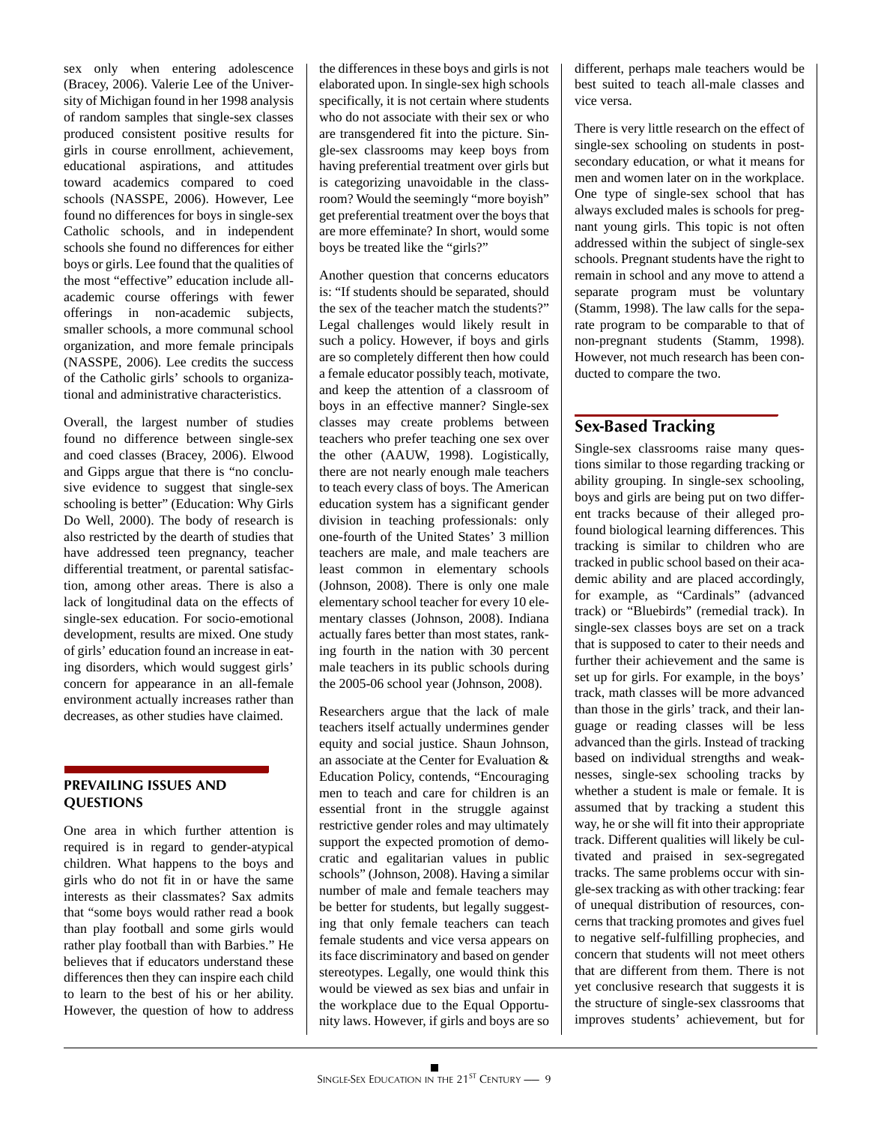sex only when entering adolescence (Bracey, 2006). Valerie Lee of the University of Michigan found in her 1998 analysis of random samples that single-sex classes produced consistent positive results for girls in course enrollment, achievement, educational aspirations, and attitudes toward academics compared to coed schools (NASSPE, 2006). However, Lee found no differences for boys in single-sex Catholic schools, and in independent schools she found no differences for either boys or girls. Lee found that the qualities of the most "effective" education include allacademic course offerings with fewer offerings in non-academic subjects, smaller schools, a more communal school organization, and more female principals (NASSPE, 2006). Lee credits the success of the Catholic girls' schools to organizational and administrative characteristics.

Overall, the largest number of studies found no difference between single-sex and coed classes (Bracey, 2006). Elwood and Gipps argue that there is "no conclusive evidence to suggest that single-sex schooling is better" (Education: Why Girls Do Well, 2000). The body of research is also restricted by the dearth of studies that have addressed teen pregnancy, teacher differential treatment, or parental satisfaction, among other areas. There is also a lack of longitudinal data on the effects of single-sex education. For socio-emotional development, results are mixed. One study of girls' education found an increase in eating disorders, which would suggest girls' concern for appearance in an all-female environment actually increases rather than decreases, as other studies have claimed.

#### **PREVAILING ISSUES AND QUESTIONS**

One area in which further attention is required is in regard to gender-atypical children. What happens to the boys and girls who do not fit in or have the same interests as their classmates? Sax admits that "some boys would rather read a book than play football and some girls would rather play football than with Barbies." He believes that if educators understand these differences then they can inspire each child to learn to the best of his or her ability. However, the question of how to address the differences in these boys and girls is not elaborated upon. In single-sex high schools specifically, it is not certain where students who do not associate with their sex or who are transgendered fit into the picture. Single-sex classrooms may keep boys from having preferential treatment over girls but is categorizing unavoidable in the classroom? Would the seemingly "more boyish" get preferential treatment over the boys that are more effeminate? In short, would some boys be treated like the "girls?"

Another question that concerns educators is: "If students should be separated, should the sex of the teacher match the students?" Legal challenges would likely result in such a policy. However, if boys and girls are so completely different then how could a female educator possibly teach, motivate, and keep the attention of a classroom of boys in an effective manner? Single-sex classes may create problems between teachers who prefer teaching one sex over the other (AAUW, 1998). Logistically, there are not nearly enough male teachers to teach every class of boys. The American education system has a significant gender division in teaching professionals: only one-fourth of the United States' 3 million teachers are male, and male teachers are least common in elementary schools (Johnson, 2008). There is only one male elementary school teacher for every 10 elementary classes (Johnson, 2008). Indiana actually fares better than most states, ranking fourth in the nation with 30 percent male teachers in its public schools during the 2005-06 school year (Johnson, 2008).

Researchers argue that the lack of male teachers itself actually undermines gender equity and social justice. Shaun Johnson, an associate at the Center for Evaluation & Education Policy, contends, "Encouraging men to teach and care for children is an essential front in the struggle against restrictive gender roles and may ultimately support the expected promotion of democratic and egalitarian values in public schools" (Johnson, 2008). Having a similar number of male and female teachers may be better for students, but legally suggesting that only female teachers can teach female students and vice versa appears on its face discriminatory and based on gender stereotypes. Legally, one would think this would be viewed as sex bias and unfair in the workplace due to the Equal Opportunity laws. However, if girls and boys are so

different, perhaps male teachers would be best suited to teach all-male classes and vice versa.

There is very little research on the effect of single-sex schooling on students in postsecondary education, or what it means for men and women later on in the workplace. One type of single-sex school that has always excluded males is schools for pregnant young girls. This topic is not often addressed within the subject of single-sex schools. Pregnant students have the right to remain in school and any move to attend a separate program must be voluntary (Stamm, 1998). The law calls for the separate program to be comparable to that of non-pregnant students (Stamm, 1998). However, not much research has been conducted to compare the two.

# **Sex-Based Tracking**

Single-sex classrooms raise many questions similar to those regarding tracking or ability grouping. In single-sex schooling, boys and girls are being put on two different tracks because of their alleged profound biological learning differences. This tracking is similar to children who are tracked in public school based on their academic ability and are placed accordingly, for example, as "Cardinals" (advanced track) or "Bluebirds" (remedial track). In single-sex classes boys are set on a track that is supposed to cater to their needs and further their achievement and the same is set up for girls. For example, in the boys' track, math classes will be more advanced than those in the girls' track, and their language or reading classes will be less advanced than the girls. Instead of tracking based on individual strengths and weaknesses, single-sex schooling tracks by whether a student is male or female. It is assumed that by tracking a student this way, he or she will fit into their appropriate track. Different qualities will likely be cultivated and praised in sex-segregated tracks. The same problems occur with single-sex tracking as with other tracking: fear of unequal distribution of resources, concerns that tracking promotes and gives fuel to negative self-fulfilling prophecies, and concern that students will not meet others that are different from them. There is not yet conclusive research that suggests it is the structure of single-sex classrooms that improves students' achievement, but for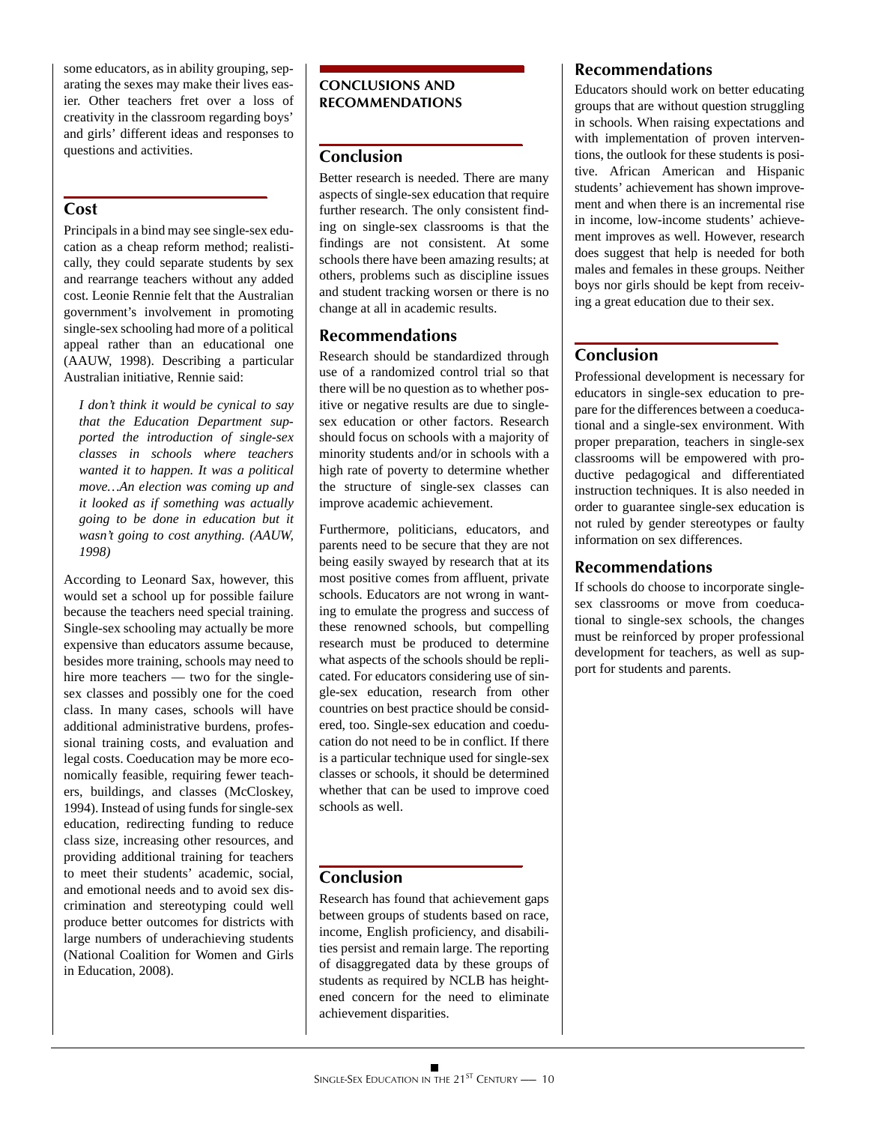some educators, as in ability grouping, separating the sexes may make their lives easier. Other teachers fret over a loss of creativity in the classroom regarding boys' and girls' different ideas and responses to questions and activities.

# **Cost**

Principals in a bind may see single-sex education as a cheap reform method; realistically, they could separate students by sex and rearrange teachers without any added cost. Leonie Rennie felt that the Australian government's involvement in promoting single-sex schooling had more of a political appeal rather than an educational one (AAUW, 1998). Describing a particular Australian initiative, Rennie said:

*I don't think it would be cynical to say that the Education Department supported the introduction of single-sex classes in schools where teachers wanted it to happen. It was a political move…An election was coming up and it looked as if something was actually going to be done in education but it wasn't going to cost anything. (AAUW, 1998)*

According to Leonard Sax, however, this would set a school up for possible failure because the teachers need special training. Single-sex schooling may actually be more expensive than educators assume because, besides more training, schools may need to hire more teachers — two for the singlesex classes and possibly one for the coed class. In many cases, schools will have additional administrative burdens, professional training costs, and evaluation and legal costs. Coeducation may be more economically feasible, requiring fewer teachers, buildings, and classes (McCloskey, 1994). Instead of using funds for single-sex education, redirecting funding to reduce class size, increasing other resources, and providing additional training for teachers to meet their students' academic, social, and emotional needs and to avoid sex discrimination and stereotyping could well produce better outcomes for districts with large numbers of underachieving students (National Coalition for Women and Girls in Education, 2008).

# **CONCLUSIONS AND RECOMMENDATIONS**

# **Conclusion**

Better research is needed. There are many aspects of single-sex education that require further research. The only consistent finding on single-sex classrooms is that the findings are not consistent. At some schools there have been amazing results; at others, problems such as discipline issues and student tracking worsen or there is no change at all in academic results.

# **Recommendations**

Research should be standardized through use of a randomized control trial so that there will be no question as to whether positive or negative results are due to singlesex education or other factors. Research should focus on schools with a majority of minority students and/or in schools with a high rate of poverty to determine whether the structure of single-sex classes can improve academic achievement.

Furthermore, politicians, educators, and parents need to be secure that they are not being easily swayed by research that at its most positive comes from affluent, private schools. Educators are not wrong in wanting to emulate the progress and success of these renowned schools, but compelling research must be produced to determine what aspects of the schools should be replicated. For educators considering use of single-sex education, research from other countries on best practice should be considered, too. Single-sex education and coeducation do not need to be in conflict. If there is a particular technique used for single-sex classes or schools, it should be determined whether that can be used to improve coed schools as well.

# **Conclusion**

Research has found that achievement gaps between groups of students based on race, income, English proficiency, and disabilities persist and remain large. The reporting of disaggregated data by these groups of students as required by NCLB has heightened concern for the need to eliminate achievement disparities.

# **Recommendations**

Educators should work on better educating groups that are without question struggling in schools. When raising expectations and with implementation of proven interventions, the outlook for these students is positive. African American and Hispanic students' achievement has shown improvement and when there is an incremental rise in income, low-income students' achievement improves as well. However, research does suggest that help is needed for both males and females in these groups. Neither boys nor girls should be kept from receiving a great education due to their sex.

# **Conclusion**

Professional development is necessary for educators in single-sex education to prepare for the differences between a coeducational and a single-sex environment. With proper preparation, teachers in single-sex classrooms will be empowered with productive pedagogical and differentiated instruction techniques. It is also needed in order to guarantee single-sex education is not ruled by gender stereotypes or faulty information on sex differences.

# **Recommendations**

If schools do choose to incorporate singlesex classrooms or move from coeducational to single-sex schools, the changes must be reinforced by proper professional development for teachers, as well as support for students and parents.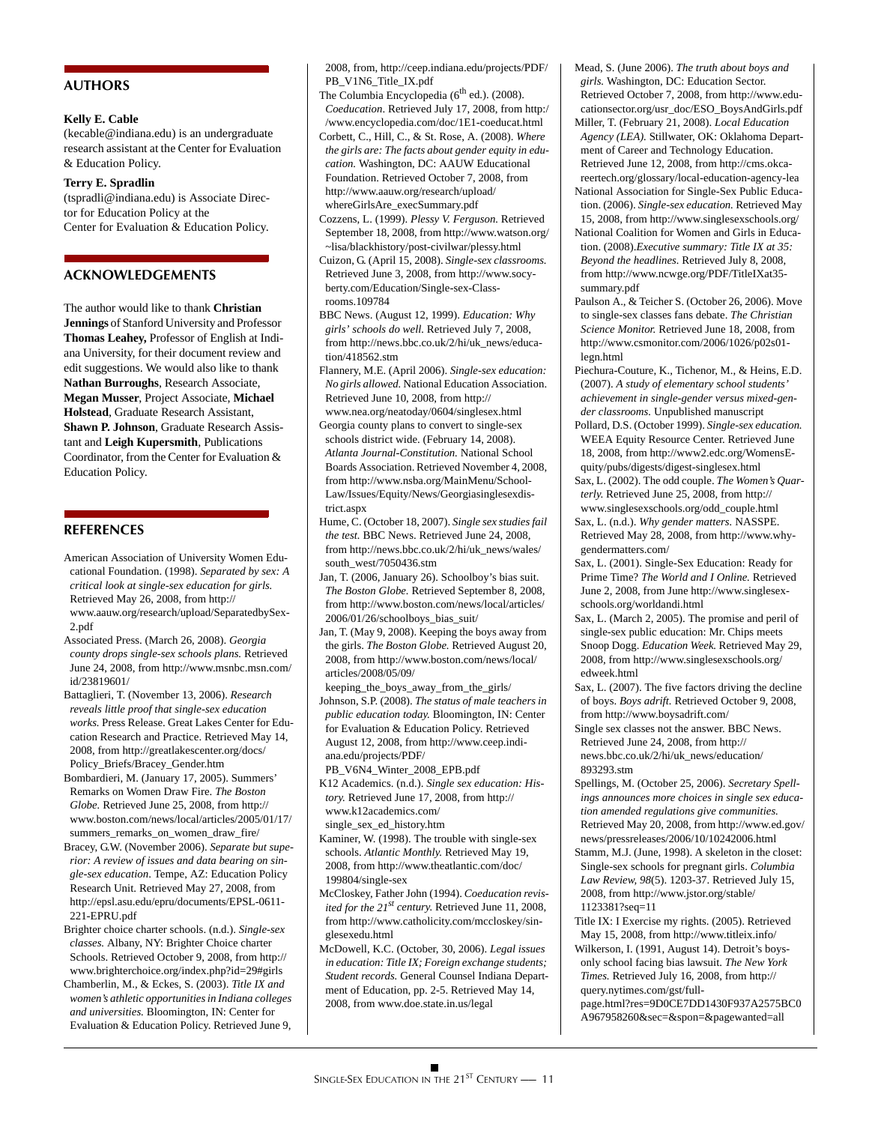#### **AUTHORS**

#### **Kelly E. Cable**

(kecable@indiana.edu) is an undergraduate research assistant at the Center for Evaluation & Education Policy.

#### **Terry E. Spradlin**

(tspradli@indiana.edu) is Associate Director for Education Policy at the Center for Evaluation & Education Policy.

#### **ACKNOWLEDGEMENTS**

The author would like to thank **Christian Jennings** of Stanford University and Professor **Thomas Leahey,** Professor of English at Indiana University, for their document review and edit suggestions. We would also like to thank **Nathan Burroughs**, Research Associate, **Megan Musser**, Project Associate, **Michael Holstead**, Graduate Research Assistant, **Shawn P. Johnson**, Graduate Research Assistant and **Leigh Kupersmith**, Publications Coordinator, from the Center for Evaluation & Education Policy.

#### **REFERENCES**

- American Association of University Women Educational Foundation. (1998). *Separated by sex: A critical look at single-sex education for girls.* Retrieved May 26, 2008, from http:// www.aauw.org/research/upload/SeparatedbySex-2.pdf
- Associated Press. (March 26, 2008). *Georgia county drops single-sex schools plans.* Retrieved June 24, 2008, from http://www.msnbc.msn.com/ id/23819601/
- Battaglieri, T. (November 13, 2006). *Research reveals little proof that single-sex education works.* Press Release. Great Lakes Center for Education Research and Practice. Retrieved May 14, 2008, from http://greatlakescenter.org/docs/ Policy\_Briefs/Bracey\_Gender.htm

Bombardieri, M. (January 17, 2005). Summers' Remarks on Women Draw Fire. *The Boston Globe.* Retrieved June 25, 2008, from http:// www.boston.com/news/local/articles/2005/01/17/ summers\_remarks\_on\_women\_draw\_fire/

- Bracey, G.W. (November 2006). *Separate but superior: A review of issues and data bearing on single-sex education*. Tempe, AZ: Education Policy Research Unit. Retrieved May 27, 2008, from http://epsl.asu.edu/epru/documents/EPSL-0611- 221-EPRU.pdf
- Brighter choice charter schools. (n.d.). *Single-sex classes.* Albany, NY: Brighter Choice charter Schools. Retrieved October 9, 2008, from http:// www.brighterchoice.org/index.php?id=29#girls
- Chamberlin, M., & Eckes, S. (2003). *Title IX and women's athletic opportunities in Indiana colleges and universities.* Bloomington, IN: Center for Evaluation & Education Policy. Retrieved June 9,

2008, from, http://ceep.indiana.edu/projects/PDF/ PB\_V1N6\_Title\_IX.pdf

- The Columbia Encyclopedia ( $6<sup>th</sup>$  ed.). (2008). *Coeducation*. Retrieved July 17, 2008, from http:/ /www.encyclopedia.com/doc/1E1-coeducat.html
- Corbett, C., Hill, C., & St. Rose, A. (2008). *Where the girls are: The facts about gender equity in education.* Washington, DC: AAUW Educational Foundation. Retrieved October 7, 2008, from http://www.aauw.org/research/upload/ whereGirlsAre\_execSummary.pdf
- Cozzens, L. (1999). *Plessy V. Ferguson.* Retrieved September 18, 2008, from http://www.watson.org/ ~lisa/blackhistory/post-civilwar/plessy.html
- Cuizon, G. (April 15, 2008). *Single-sex classrooms.* Retrieved June 3, 2008, from http://www.socyberty.com/Education/Single-sex-Classrooms.109784
- BBC News. (August 12, 1999). *Education: Why girls' schools do well.* Retrieved July 7, 2008, from http://news.bbc.co.uk/2/hi/uk\_news/education/418562.stm

Flannery, M.E. (April 2006). *Single-sex education: No girls allowed.* National Education Association. Retrieved June 10, 2008, from http:// www.nea.org/neatoday/0604/singlesex.html

Georgia county plans to convert to single-sex schools district wide. (February 14, 2008). *Atlanta Journal-Constitution.* National School Boards Association. Retrieved November 4, 2008, from http://www.nsba.org/MainMenu/School-Law/Issues/Equity/News/Georgiasinglesexdistrict.aspx

Hume, C. (October 18, 2007). *Single sex studies fail the test.* BBC News. Retrieved June 24, 2008, from http://news.bbc.co.uk/2/hi/uk\_news/wales/ south\_west/7050436.stm

Jan, T. (2006, January 26). Schoolboy's bias suit. *The Boston Globe.* Retrieved September 8, 2008, from http://www.boston.com/news/local/articles/ 2006/01/26/schoolboys\_bias\_suit/

- Jan, T. (May 9, 2008). Keeping the boys away from the girls. *The Boston Globe.* Retrieved August 20, 2008, from http://www.boston.com/news/local/ articles/2008/05/09/
- keeping\_the\_boys\_away\_from\_the\_girls/
- Johnson, S.P. (2008). *The status of male teachers in public education today.* Bloomington, IN: Center for Evaluation & Education Policy. Retrieved August 12, 2008, from http://www.ceep.indiana.edu/projects/PDF/

PB\_V6N4\_Winter\_2008\_EPB.pdf

- K12 Academics. (n.d.). *Single sex education: History.* Retrieved June 17, 2008, from http:// www.k12academics.com/ single\_sex\_ed\_history.htm
- Kaminer, W. (1998). The trouble with single-sex schools. *Atlantic Monthly.* Retrieved May 19, 2008, from http://www.theatlantic.com/doc/ 199804/single-sex

McCloskey, Father John (1994). *Coeducation revisited for the 21st century.* Retrieved June 11, 2008, from http://www.catholicity.com/mccloskey/singlesexedu.html

McDowell, K.C. (October, 30, 2006). *Legal issues in education: Title IX; Foreign exchange students; Student records.* General Counsel Indiana Department of Education, pp. 2-5. Retrieved May 14, 2008, from www.doe.state.in.us/legal

Mead, S. (June 2006). *The truth about boys and girls.* Washington, DC: Education Sector. Retrieved October 7, 2008, from http://www.educationsector.org/usr\_doc/ESO\_BoysAndGirls.pdf Miller, T. (February 21, 2008). *Local Education* 

- *Agency (LEA).* Stillwater, OK: Oklahoma Department of Career and Technology Education. Retrieved June 12, 2008, from http://cms.okcareertech.org/glossary/local-education-agency-lea National Association for Single-Sex Public Education. (2006). *Single-sex education.* Retrieved May
- 15, 2008, from http://www.singlesexschools.org/ National Coalition for Women and Girls in Educa-
- tion. (2008).*Executive summary: Title IX at 35: Beyond the headlines.* Retrieved July 8, 2008, from http://www.ncwge.org/PDF/TitleIXat35 summary.pdf
- Paulson A., & Teicher S. (October 26, 2006). Move to single-sex classes fans debate. *The Christian Science Monitor.* Retrieved June 18, 2008, from http://www.csmonitor.com/2006/1026/p02s01 legn.html
- Piechura-Couture, K., Tichenor, M., & Heins, E.D. (2007). *A study of elementary school students' achievement in single-gender versus mixed-gender classrooms.* Unpublished manuscript
- Pollard, D.S. (October 1999). *Single-sex education.* WEEA Equity Resource Center. Retrieved June 18, 2008, from http://www2.edc.org/WomensEquity/pubs/digests/digest-singlesex.html
- Sax, L. (2002). The odd couple. *The Women's Quarterly*. Retrieved June 25, 2008, from http:// www.singlesexschools.org/odd\_couple.html
- Sax, L. (n.d.). *Why gender matters.* NASSPE. Retrieved May 28, 2008, from http://www.whygendermatters.com/
- Sax, L. (2001). Single-Sex Education: Ready for Prime Time? *The World and I Online.* Retrieved June 2, 2008, from June http://www.singlesexschools.org/worldandi.html
- Sax, L. (March 2, 2005). The promise and peril of single-sex public education: Mr. Chips meets Snoop Dogg. *Education Week.* Retrieved May 29, 2008, from http://www.singlesexschools.org/ edweek.html
- Sax, L. (2007). The five factors driving the decline of boys. *Boys adrift.* Retrieved October 9, 2008, from http://www.boysadrift.com/
- Single sex classes not the answer. BBC News. Retrieved June 24, 2008, from http:// news.bbc.co.uk/2/hi/uk\_news/education/ 893293.stm
- Spellings, M. (October 25, 2006). *Secretary Spellings announces more choices in single sex education amended regulations give communities.* Retrieved May 20, 2008, from http://www.ed.gov/ news/pressreleases/2006/10/10242006.html
- Stamm, M.J. (June, 1998). A skeleton in the closet: Single-sex schools for pregnant girls. *Columbia Law Review, 98*(5). 1203-37. Retrieved July 15, 2008, from http://www.jstor.org/stable/ 1123381?seq=11
- Title IX: I Exercise my rights. (2005). Retrieved May 15, 2008, from http://www.titleix.info/ Wilkerson, I. (1991, August 14). Detroit's boys-
- only school facing bias lawsuit. *The New York Times.* Retrieved July 16, 2008, from http:// query.nytimes.com/gst/full-
- page.html?res=9D0CE7DD1430F937A2575BC0 A967958260&sec=&spon=&pagewanted=all